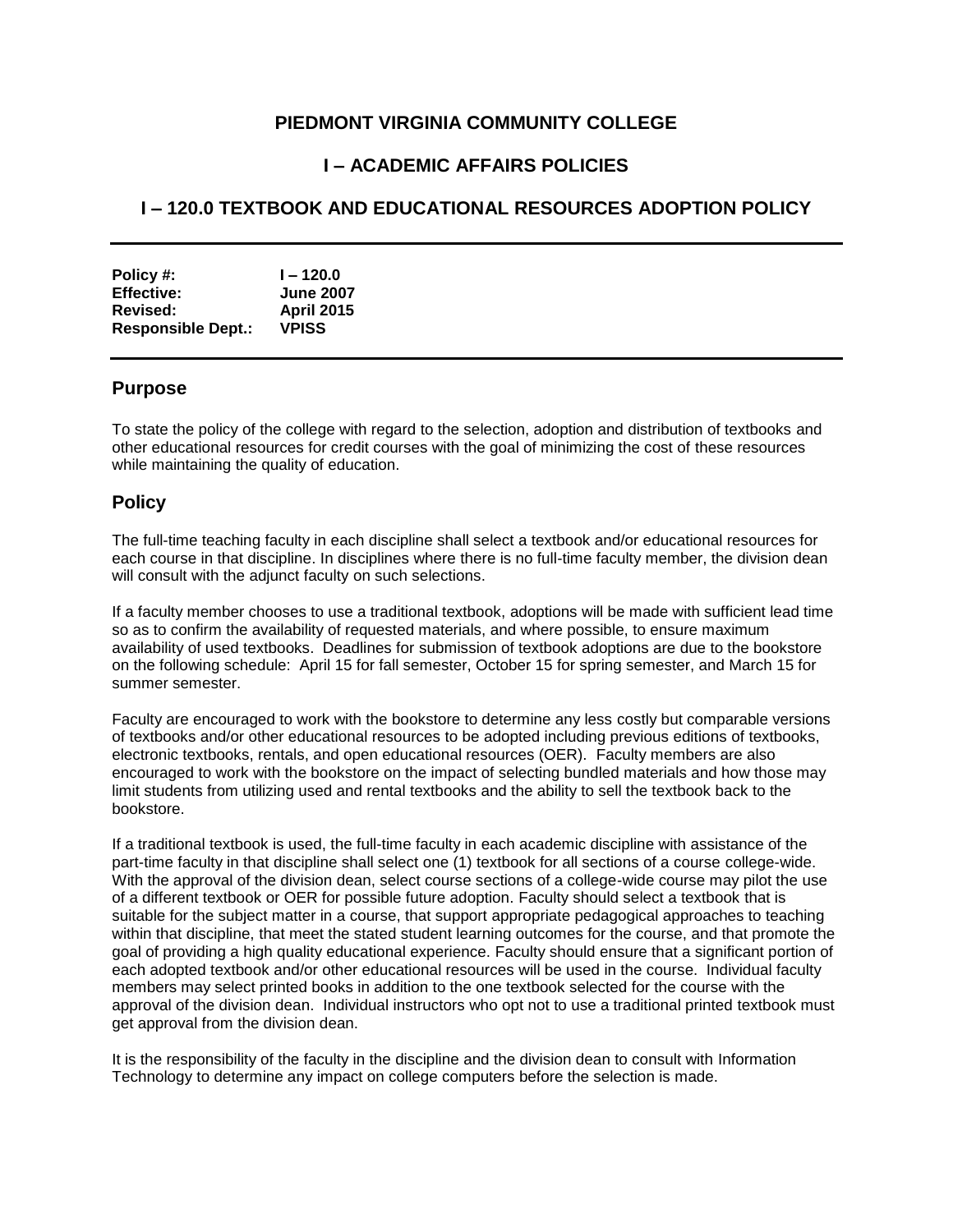### **PIEDMONT VIRGINIA COMMUNITY COLLEGE**

## **I – ACADEMIC AFFAIRS POLICIES**

# **I – 120.0 TEXTBOOK AND EDUCATIONAL RESOURCES ADOPTION POLICY**

| Policy #:                 | $1 - 120.0$       |
|---------------------------|-------------------|
| <b>Effective:</b>         | <b>June 2007</b>  |
| Revised:                  | <b>April 2015</b> |
| <b>Responsible Dept.:</b> | <b>VPISS</b>      |

#### **Purpose**

To state the policy of the college with regard to the selection, adoption and distribution of textbooks and other educational resources for credit courses with the goal of minimizing the cost of these resources while maintaining the quality of education.

#### **Policy**

The full-time teaching faculty in each discipline shall select a textbook and/or educational resources for each course in that discipline. In disciplines where there is no full-time faculty member, the division dean will consult with the adjunct faculty on such selections.

If a faculty member chooses to use a traditional textbook, adoptions will be made with sufficient lead time so as to confirm the availability of requested materials, and where possible, to ensure maximum availability of used textbooks. Deadlines for submission of textbook adoptions are due to the bookstore on the following schedule: April 15 for fall semester, October 15 for spring semester, and March 15 for summer semester.

Faculty are encouraged to work with the bookstore to determine any less costly but comparable versions of textbooks and/or other educational resources to be adopted including previous editions of textbooks, electronic textbooks, rentals, and open educational resources (OER). Faculty members are also encouraged to work with the bookstore on the impact of selecting bundled materials and how those may limit students from utilizing used and rental textbooks and the ability to sell the textbook back to the bookstore.

If a traditional textbook is used, the full-time faculty in each academic discipline with assistance of the part-time faculty in that discipline shall select one (1) textbook for all sections of a course college-wide. With the approval of the division dean, select course sections of a college-wide course may pilot the use of a different textbook or OER for possible future adoption. Faculty should select a textbook that is suitable for the subject matter in a course, that support appropriate pedagogical approaches to teaching within that discipline, that meet the stated student learning outcomes for the course, and that promote the goal of providing a high quality educational experience. Faculty should ensure that a significant portion of each adopted textbook and/or other educational resources will be used in the course. Individual faculty members may select printed books in addition to the one textbook selected for the course with the approval of the division dean. Individual instructors who opt not to use a traditional printed textbook must get approval from the division dean.

It is the responsibility of the faculty in the discipline and the division dean to consult with Information Technology to determine any impact on college computers before the selection is made.